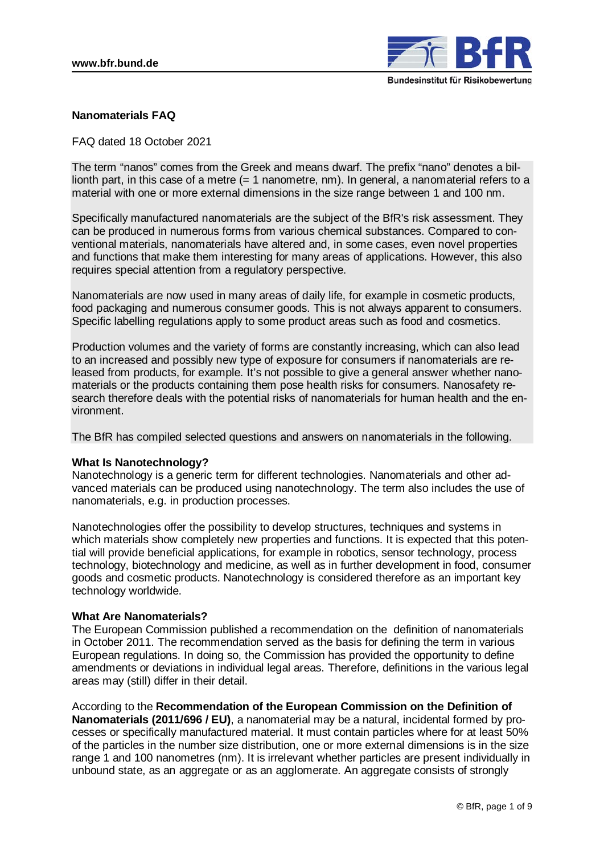

# **Nanomaterials FAQ**

# FAQ dated 18 October 2021

The term "nanos" comes from the Greek and means dwarf. The prefix "nano" denotes a billionth part, in this case of a metre (= 1 nanometre, nm). In general, a nanomaterial refers to a material with one or more external dimensions in the size range between 1 and 100 nm.

Specifically manufactured nanomaterials are the subject of the BfR's [risk assessment.](http://www.bfr.bund.de/de/a-z_index/risikobewertung-4674.html) They can be produced in numerous forms from various chemical substances. Compared to conventional materials, nanomaterials have altered and, in some cases, even novel properties and functions that make them interesting for many areas of applications. However, this also requires special attention from a regulatory perspective.

Nanomaterials are now used in many areas of daily life, for example in cosmetic products, food packaging and numerous consumer goods. This is not always apparent to consumers. Specific labelling regulations apply to some product areas such as food and cosmetics.

Production volumes and the variety of forms are constantly increasing, which can also lead to an increased and possibly new type of exposure for consumers if nanomaterials are released from products, for example. It's not possible to give a general answer whether nanomaterials or the products containing them pose health risks for consumers. Nanosafety research therefore deals with the potential risks of nanomaterials for human health and the environment.

The BfR has compiled selected questions and answers on nanomaterials in the following.

## **What Is Nanotechnology?**

Nanotechnology is a generic term for different technologies. Nanomaterials and other advanced materials can be produced using nanotechnology. The term also includes the use of nanomaterials, e.g. in production processes.

Nanotechnologies offer the possibility to develop structures, techniques and systems in which materials show completely new properties and functions. It is expected that this potential will provide beneficial applications, for example in robotics, sensor technology, process technology, biotechnology and medicine, as well as in further development in food, consumer goods and cosmetic products. Nanotechnology is considered therefore as an important key technology worldwide.

## **What Are Nanomaterials?**

The European Commission published a recommendation on the definition of nanomaterials in October 2011. The recommendation served as the basis for defining the term in various European regulations. In doing so, the Commission has provided the opportunity to define amendments or deviations in individual legal areas. Therefore, definitions in the various legal areas may (still) differ in their detail.

According to the **Recommendation of the European Commission on the Definition of Nanomaterials (2011/696 / EU)**, a nanomaterial may be a natural, incidental formed by processes or specifically manufactured material. It must contain particles where for at least 50% of the particles in the number size distribution, one or more external dimensions is in the size range 1 and 100 nanometres (nm). It is irrelevant whether particles are present individually in unbound state, as an aggregate or as an agglomerate. An aggregate consists of strongly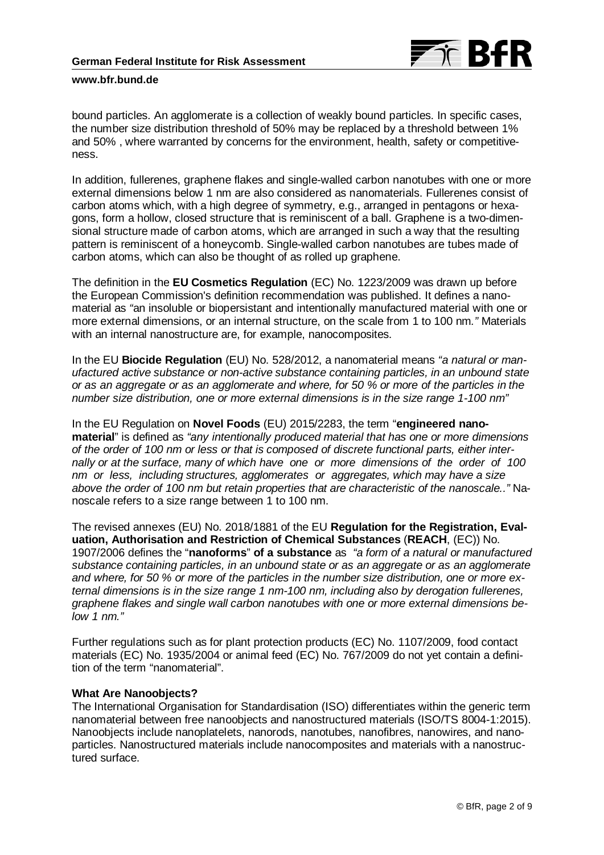

bound particles. An agglomerate is a collection of weakly bound particles. In specific cases, the number size distribution threshold of 50% may be replaced by a threshold between 1% and 50% , where warranted by concerns for the environment, health, safety or competitiveness.

In addition, fullerenes, graphene flakes and single-walled carbon nanotubes with one or more external dimensions below 1 nm are also considered as nanomaterials. Fullerenes consist of carbon atoms which, with a high degree of symmetry, e.g., arranged in pentagons or hexagons, form a hollow, closed structure that is reminiscent of a ball. Graphene is a two-dimensional structure made of carbon atoms, which are arranged in such a way that the resulting pattern is reminiscent of a honeycomb. Single-walled carbon nanotubes are tubes made of carbon atoms, which can also be thought of as rolled up graphene.

The definition in the **EU Cosmetics Regulation** (EC) No. 1223/2009 was drawn up before the European Commission's definition recommendation was published. It defines a nanomaterial as *"*an insoluble or biopersistant and intentionally manufactured material with one or more external dimensions, or an internal structure, on the scale from 1 to 100 nm*."* Materials with an internal nanostructure are, for example, nanocomposites.

In the EU **Biocide Regulation** (EU) No. 528/2012, a nanomaterial means *"a natural or manufactured active substance or non-active substance containing particles, in an unbound state or as an aggregate or as an agglomerate and where, for 50 % or more of the particles in the number size distribution, one or more external dimensions is in the size range 1-100 nm"*

In the EU Regulation on **Novel Foods** (EU) 2015/2283, the term "**engineered nanomaterial**" is defined as *"any intentionally produced material that has one or more dimensions of the order of 100 nm or less or that is composed of discrete functional parts, either internally or at the surface, many of which have one or more dimensions of the order of 100 nm or less, including structures, agglomerates or aggregates, which may have a size above the order of 100 nm but retain properties that are characteristic of the nanoscale.."* Nanoscale refers to a size range between 1 to 100 nm.

The revised annexes (EU) No. 2018/1881 of the EU **Regulation for the Registration, Evaluation, Authorisation and Restriction of Chemical Substances** (**REACH**, (EC)) No. 1907/2006 defines the "**nanoforms**" **of a substance** as *"a form of a natural or manufactured substance containing particles, in an unbound state or as an aggregate or as an agglomerate and where, for 50 % or more of the particles in the number size distribution, one or more external dimensions is in the size range 1 nm-100 nm, including also by derogation fullerenes, graphene flakes and single wall carbon nanotubes with one or more external dimensions below 1 nm."*

Further regulations such as for plant protection products (EC) No. 1107/2009, food contact materials (EC) No. 1935/2004 or animal feed (EC) No. 767/2009 do not yet contain a definition of the term "nanomaterial".

## **What Are Nanoobjects?**

The International Organisation for Standardisation (ISO) differentiates within the generic term nanomaterial between free nanoobjects and nanostructured materials (ISO/TS 8004-1:2015). Nanoobjects include nanoplatelets, nanorods, nanotubes, nanofibres, nanowires, and nanoparticles. Nanostructured materials include nanocomposites and materials with a nanostructured surface.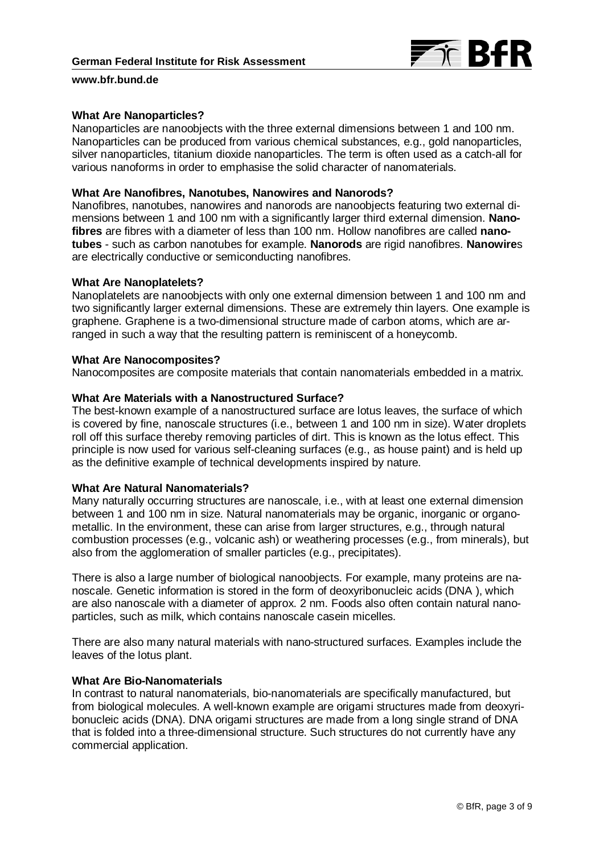

### **What Are Nanoparticles?**

Nanoparticles are nanoobjects with the three external dimensions between 1 and 100 nm. Nanoparticles can be produced from various chemical substances, e.g., gold nanoparticles, silver nanoparticles, titanium dioxide nanoparticles. The term is often used as a catch-all for various nanoforms in order to emphasise the solid character of nanomaterials.

#### **What Are Nanofibres, Nanotubes, Nanowires and Nanorods?**

Nanofibres, nanotubes, nanowires and nanorods are nanoobjects featuring two external dimensions between 1 and 100 nm with a significantly larger third external dimension. **Nanofibres** are fibres with a diameter of less than 100 nm. Hollow nanofibres are called **nanotubes** - such as carbon nanotubes for example. **Nanorods** are rigid nanofibres. **Nanowire**s are electrically conductive or semiconducting nanofibres.

### **What Are Nanoplatelets?**

Nanoplatelets are nanoobjects with only one external dimension between 1 and 100 nm and two significantly larger external dimensions. These are extremely thin layers. One example is graphene. Graphene is a two-dimensional structure made of carbon atoms, which are arranged in such a way that the resulting pattern is reminiscent of a honeycomb.

### **What Are Nanocomposites?**

Nanocomposites are composite materials that contain nanomaterials embedded in a matrix.

# **What Are Materials with a Nanostructured Surface?**

The best-known example of a nanostructured surface are lotus leaves, the surface of which is covered by fine, nanoscale structures (i.e., between 1 and 100 nm in size). Water droplets roll off this surface thereby removing particles of dirt. This is known as the lotus effect. This principle is now used for various self-cleaning surfaces (e.g., as house paint) and is held up as the definitive example of technical developments inspired by nature.

#### **What Are Natural Nanomaterials?**

Many naturally occurring structures are nanoscale, i.e., with at least one external dimension between 1 and 100 nm in size. Natural nanomaterials may be organic, inorganic or organometallic. In the environment, these can arise from larger structures, e.g., through natural combustion processes (e.g., volcanic ash) or weathering processes (e.g., from minerals), but also from the agglomeration of smaller particles (e.g., precipitates).

There is also a large number of biological nanoobjects. For example, many proteins are nanoscale. Genetic information is stored in the form of deoxyribonucleic acids (DNA ), which are also nanoscale with a diameter of approx. 2 nm. Foods also often contain natural nanoparticles, such as milk, which contains nanoscale casein micelles.

There are also many natural materials with nano-structured surfaces. Examples include the leaves of the lotus plant.

### **What Are Bio-Nanomaterials**

In contrast to natural nanomaterials, bio-nanomaterials are specifically manufactured, but from biological molecules. A well-known example are origami structures made from deoxyribonucleic acids (DNA). DNA origami structures are made from a long single strand of DNA that is folded into a three-dimensional structure. Such structures do not currently have any commercial application.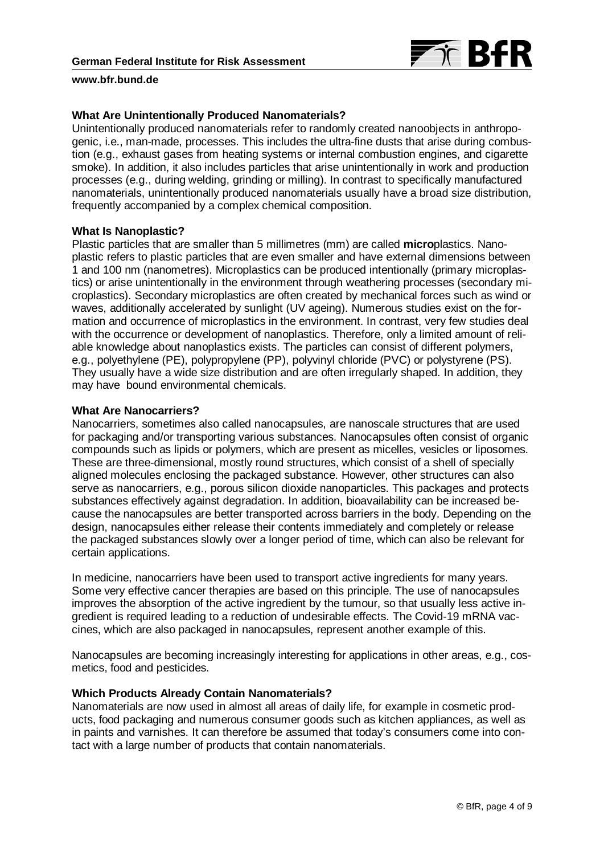

# **What Are Unintentionally Produced Nanomaterials?**

Unintentionally produced nanomaterials refer to randomly created nanoobjects in anthropogenic, i.e., man-made, processes. This includes the ultra-fine dusts that arise during combustion (e.g., exhaust gases from heating systems or internal combustion engines, and cigarette smoke). In addition, it also includes particles that arise unintentionally in work and production processes (e.g., during welding, grinding or milling). In contrast to specifically manufactured nanomaterials, unintentionally produced nanomaterials usually have a broad size distribution, frequently accompanied by a complex chemical composition.

## **What Is Nanoplastic?**

Plastic particles that are smaller than 5 millimetres (mm) are called **micro**plastics. Nanoplastic refers to plastic particles that are even smaller and have external dimensions between 1 and 100 nm (nanometres). Microplastics can be produced intentionally (primary microplastics) or arise unintentionally in the environment through weathering processes (secondary microplastics). Secondary microplastics are often created by mechanical forces such as wind or waves, additionally accelerated by sunlight (UV ageing). Numerous studies exist on the formation and occurrence of microplastics in the environment. In contrast, very few studies deal with the occurrence or development of nanoplastics. Therefore, only a limited amount of reliable knowledge about nanoplastics exists. The particles can consist of different polymers, e.g., polyethylene (PE), polypropylene (PP), polyvinyl chloride (PVC) or polystyrene (PS). They usually have a wide size distribution and are often irregularly shaped. In addition, they may have bound environmental chemicals.

## **What Are Nanocarriers?**

Nanocarriers, sometimes also called nanocapsules, are nanoscale structures that are used for packaging and/or transporting various substances. Nanocapsules often consist of organic compounds such as lipids or polymers, which are present as micelles, vesicles or liposomes. These are three-dimensional, mostly round structures, which consist of a shell of specially aligned molecules enclosing the packaged substance. However, other structures can also serve as nanocarriers, e.g., porous silicon dioxide nanoparticles. This packages and protects substances effectively against degradation. In addition, bioavailability can be increased because the nanocapsules are better transported across barriers in the body. Depending on the design, nanocapsules either release their contents immediately and completely or release the packaged substances slowly over a longer period of time, which can also be relevant for certain applications.

In medicine, nanocarriers have been used to transport active ingredients for many years. Some very effective cancer therapies are based on this principle. The use of nanocapsules improves the absorption of the active ingredient by the tumour, so that usually less active ingredient is required leading to a reduction of undesirable effects. The Covid-19 mRNA vaccines, which are also packaged in nanocapsules, represent another example of this.

Nanocapsules are becoming increasingly interesting for applications in other areas, e.g., cosmetics, food and pesticides.

## **Which Products Already Contain Nanomaterials?**

Nanomaterials are now used in almost all areas of daily life, for example in cosmetic products, food packaging and numerous consumer goods such as kitchen appliances, as well as in paints and varnishes. It can therefore be assumed that today's consumers come into contact with a large number of products that contain nanomaterials.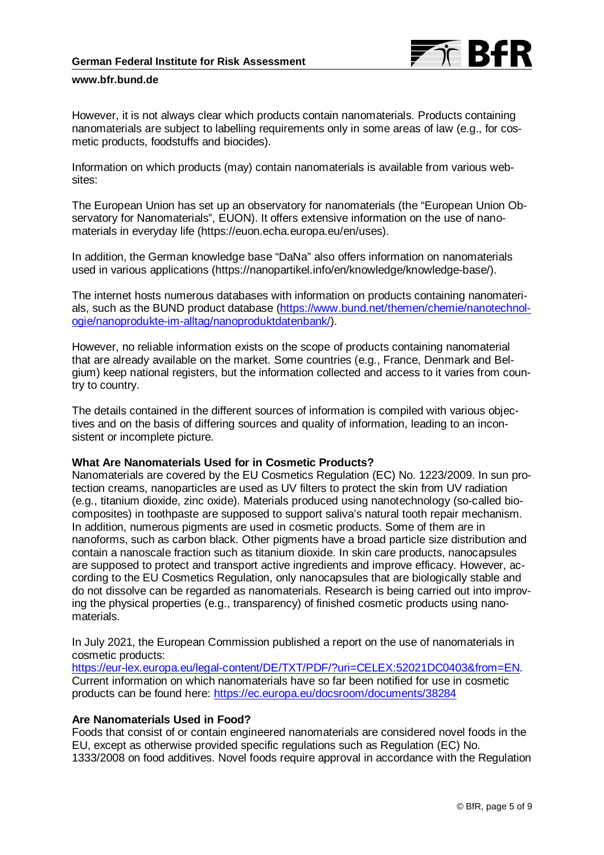

However, it is not always clear which products contain nanomaterials. Products containing nanomaterials are subject to labelling requirements only in some areas of law (e.g., for cosmetic products, foodstuffs and biocides).

Information on which products (may) contain nanomaterials is available from various websites:

The European Union has set up an observatory for nanomaterials (the "European Union Observatory for Nanomaterials", EUON). It offers extensive information on the use of nanomaterials in everyday life (https://euon.echa.europa.eu/en/uses).

In addition, the German knowledge base "DaNa" also offers information on nanomaterials used in various applications (https://nanopartikel.info/en/knowledge/knowledge-base/).

The internet hosts numerous databases with information on products containing nanomaterials, such as the BUND product database [\(https://www.bund.net/themen/chemie/nanotechnol](https://www.bund.net/themen/chemie/nanotechnologie/nanoprodukte-im-alltag/nanoproduktdatenbank/)[ogie/nanoprodukte-im-alltag/nanoproduktdatenbank/\)](https://www.bund.net/themen/chemie/nanotechnologie/nanoprodukte-im-alltag/nanoproduktdatenbank/).

However, no reliable information exists on the scope of products containing nanomaterial that are already available on the market. Some countries (e.g., France, Denmark and Belgium) keep national registers, but the information collected and access to it varies from country to country.

The details contained in the different sources of information is compiled with various objectives and on the basis of differing sources and quality of information, leading to an inconsistent or incomplete picture.

# **What Are Nanomaterials Used for in Cosmetic Products?**

Nanomaterials are covered by the EU Cosmetics Regulation (EC) No. 1223/2009. In sun protection creams, nanoparticles are used as UV filters to protect the skin from UV radiation (e.g., titanium dioxide, zinc oxide). Materials produced using nanotechnology (so-called biocomposites) in toothpaste are supposed to support saliva's natural tooth repair mechanism. In addition, numerous pigments are used in cosmetic products. Some of them are in nanoforms, such as carbon black. Other pigments have a broad particle size distribution and contain a nanoscale fraction such as titanium dioxide. In skin care products, nanocapsules are supposed to protect and transport active ingredients and improve efficacy. However, according to the EU Cosmetics Regulation, only nanocapsules that are biologically stable and do not dissolve can be regarded as nanomaterials. Research is being carried out into improving the physical properties (e.g., transparency) of finished cosmetic products using nanomaterials.

In July 2021, the European Commission published a report on the use of nanomaterials in cosmetic products:

[https://eur-lex.europa.eu/legal-content/DE/TXT/PDF/?uri=CELEX:52021DC0403&from=EN.](https://eur-lex.europa.eu/legal-content/DE/TXT/PDF/?uri=CELEX:52021DC0403&from=EN) Current information on which nanomaterials have so far been notified for use in cosmetic products can be found here:<https://ec.europa.eu/docsroom/documents/38284>

# **Are Nanomaterials Used in Food?**

Foods that consist of or contain engineered nanomaterials are considered novel foods in the EU, except as otherwise provided specific regulations such as Regulation (EC) No. 1333/2008 on food additives. Novel foods require approval in accordance with the Regulation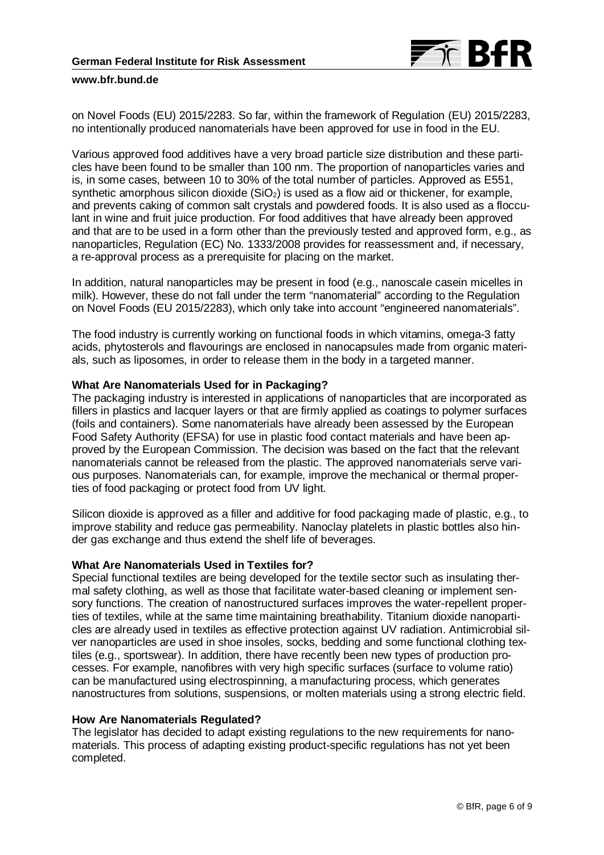

on Novel Foods (EU) 2015/2283. So far, within the framework of Regulation (EU) 2015/2283, no intentionally produced nanomaterials have been approved for use in food in the EU.

Various approved food additives have a very broad particle size distribution and these particles have been found to be smaller than 100 nm. The proportion of nanoparticles varies and is, in some cases, between 10 to 30% of the total number of particles. Approved as E551, synthetic amorphous silicon dioxide  $(SiO<sub>2</sub>)$  is used as a flow aid or thickener, for example, and prevents caking of common salt crystals and powdered foods. It is also used as a flocculant in wine and fruit juice production. For food additives that have already been approved and that are to be used in a form other than the previously tested and approved form, e.g., as nanoparticles, Regulation (EC) No. 1333/2008 provides for reassessment and, if necessary, a re-approval process as a prerequisite for placing on the market.

In addition, natural nanoparticles may be present in food (e.g., nanoscale casein micelles in milk). However, these do not fall under the term "nanomaterial" according to the Regulation on Novel Foods (EU 2015/2283), which only take into account "engineered nanomaterials".

The food industry is currently working on functional foods in which vitamins, omega-3 fatty acids, phytosterols and flavourings are enclosed in nanocapsules made from organic materials, such as liposomes, in order to release them in the body in a targeted manner.

### **What Are Nanomaterials Used for in Packaging?**

The packaging industry is interested in applications of nanoparticles that are incorporated as fillers in plastics and lacquer layers or that are firmly applied as coatings to polymer surfaces (foils and containers). Some nanomaterials have already been assessed by the European Food Safety Authority (EFSA) for use in plastic food contact materials and have been approved by the European Commission. The decision was based on the fact that the relevant nanomaterials cannot be released from the plastic. The approved nanomaterials serve various purposes. Nanomaterials can, for example, improve the mechanical or thermal properties of food packaging or protect food from UV light.

Silicon dioxide is approved as a filler and additive for food packaging made of plastic, e.g., to improve stability and reduce gas permeability. Nanoclay platelets in plastic bottles also hinder gas exchange and thus extend the shelf life of beverages.

# **What Are Nanomaterials Used in Textiles for?**

Special functional textiles are being developed for the textile sector such as insulating thermal safety clothing, as well as those that facilitate water-based cleaning or implement sensory functions. The creation of nanostructured surfaces improves the water-repellent properties of textiles, while at the same time maintaining breathability. Titanium dioxide nanoparticles are already used in textiles as effective protection against UV radiation. Antimicrobial silver nanoparticles are used in shoe insoles, socks, bedding and some functional clothing textiles (e.g., sportswear). In addition, there have recently been new types of production processes. For example, nanofibres with very high specific surfaces (surface to volume ratio) can be manufactured using electrospinning, a manufacturing process, which generates nanostructures from solutions, suspensions, or molten materials using a strong electric field.

### **How Are Nanomaterials Regulated?**

The legislator has decided to adapt existing regulations to the new requirements for nanomaterials. This process of adapting existing product-specific regulations has not yet been completed.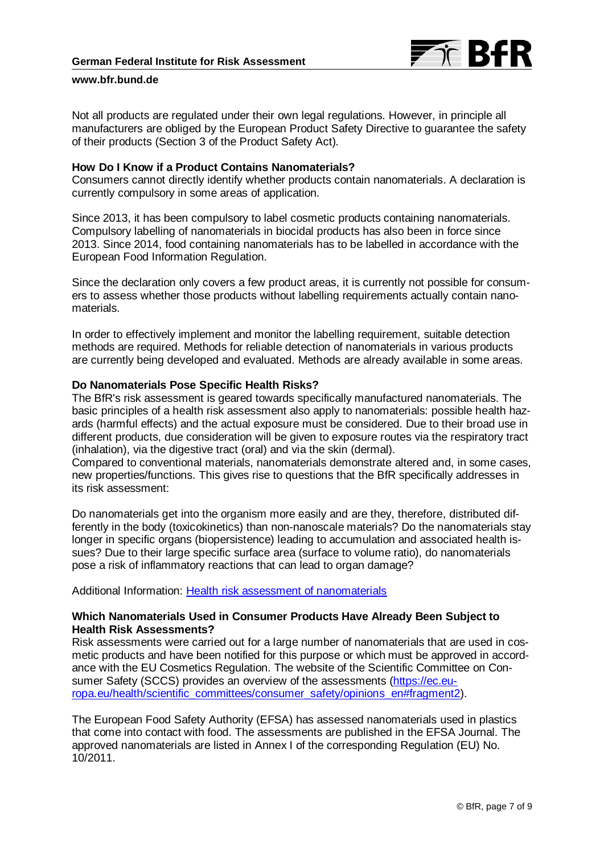

Not all products are regulated under their own legal regulations. However, in principle all manufacturers are obliged by the European Product Safety Directive to guarantee the safety of their products (Section 3 of the Product Safety Act).

# **How Do I Know if a Product Contains Nanomaterials?**

Consumers cannot directly identify whether products contain nanomaterials. A declaration is currently compulsory in some areas of application.

Since 2013, it has been compulsory to label cosmetic products containing nanomaterials. Compulsory labelling of nanomaterials in biocidal products has also been in force since 2013. Since 2014, food containing nanomaterials has to be labelled in accordance with the European Food Information Regulation.

Since the declaration only covers a few product areas, it is currently not possible for consumers to assess whether those products without labelling requirements actually contain nanomaterials.

In order to effectively implement and monitor the labelling requirement, suitable detection methods are required. Methods for reliable detection of nanomaterials in various products are currently being developed and evaluated. Methods are already available in some areas.

## **Do Nanomaterials Pose Specific Health Risks?**

The BfR's risk assessment is geared towards specifically manufactured nanomaterials. The basic principles of a health risk assessment also apply to nanomaterials: possible health hazards (harmful effects) and the actual exposure must be considered. Due to their broad use in different products, due consideration will be given to exposure routes via the respiratory tract (inhalation), via the digestive tract (oral) and via the skin (dermal).

Compared to conventional materials, nanomaterials demonstrate altered and, in some cases, new properties/functions. This gives rise to questions that the BfR specifically addresses in its risk assessment:

Do nanomaterials get into the organism more easily and are they, therefore, distributed differently in the body (toxicokinetics) than non-nanoscale materials? Do the nanomaterials stay longer in specific organs (biopersistence) leading to accumulation and associated health issues? Due to their large specific surface area (surface to volume ratio), do nanomaterials pose a risk of inflammatory reactions that can lead to organ damage?

Additional Information: [Health risk assessment of nanomaterials](https://www.bfr.bund.de/en/health_assessment_of_nanomaterials-30439.html)

# **Which Nanomaterials Used in Consumer Products Have Already Been Subject to Health Risk Assessments?**

Risk assessments were carried out for a large number of nanomaterials that are used in cosmetic products and have been notified for this purpose or which must be approved in accordance with the EU Cosmetics Regulation. The website of the Scientific Committee on Consumer Safety (SCCS) provides an overview of the assessments [\(https://ec.eu](https://ec.europa.eu/health/scientific_committees/consumer_safety/opinions_en#fragment2)[ropa.eu/health/scientific\\_committees/consumer\\_safety/opinions\\_en#fragment2\)](https://ec.europa.eu/health/scientific_committees/consumer_safety/opinions_en#fragment2).

The European Food Safety Authority (EFSA) has assessed nanomaterials used in plastics that come into contact with food. The assessments are published in the EFSA Journal. The approved nanomaterials are listed in Annex I of the corresponding Regulation (EU) No. 10/2011.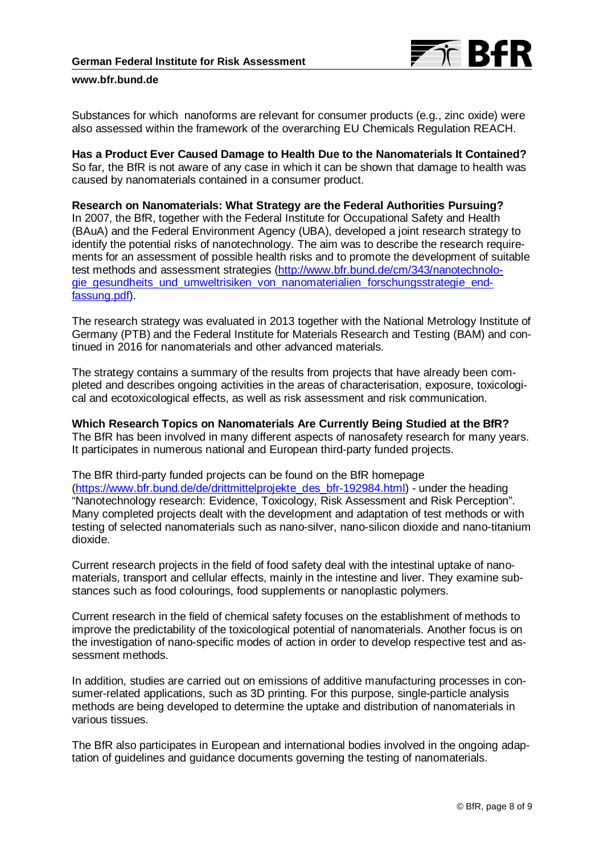

Substances for which nanoforms are relevant for consumer products (e.g., zinc oxide) were also assessed within the framework of the overarching EU Chemicals Regulation REACH.

**Has a Product Ever Caused Damage to Health Due to the Nanomaterials It Contained?** So far, the BfR is not aware of any case in which it can be shown that damage to health was caused by nanomaterials contained in a consumer product.

**Research on Nanomaterials: What Strategy are the Federal Authorities Pursuing?** In 2007, the BfR, together with the Federal Institute for Occupational Safety and Health (BAuA) and the Federal Environment Agency (UBA), developed a joint research strategy to identify the potential risks of nanotechnology. The aim was to describe the research requirements for an assessment of possible health risks and to promote the development of suitable test methods and assessment strategies [\(http://www.bfr.bund.de/cm/343/nanotechnolo](http://www.bfr.bund.de/cm/343/nanotechnologie_gesundheits_und_umweltrisiken_von_nanomaterialien_forschungsstrategie_endfassung.pdf)[gie\\_gesundheits\\_und\\_umweltrisiken\\_von\\_nanomaterialien\\_forschungsstrategie\\_end](http://www.bfr.bund.de/cm/343/nanotechnologie_gesundheits_und_umweltrisiken_von_nanomaterialien_forschungsstrategie_endfassung.pdf)[fassung.pdf\)](http://www.bfr.bund.de/cm/343/nanotechnologie_gesundheits_und_umweltrisiken_von_nanomaterialien_forschungsstrategie_endfassung.pdf).

The research strategy was evaluated in 2013 together with the National Metrology Institute of Germany (PTB) and the Federal Institute for Materials Research and Testing (BAM) and continued in 2016 for nanomaterials and other advanced materials.

The strategy contains a summary of the results from projects that have already been completed and describes ongoing activities in the areas of characterisation, exposure, toxicological and ecotoxicological effects, as well as risk assessment and risk communication.

**Which Research Topics on Nanomaterials Are Currently Being Studied at the BfR?** The BfR has been involved in many different aspects of nanosafety research for many years. It participates in numerous national and European third-party funded projects.

The BfR third-party funded projects can be found on the BfR homepage [\(https://www.bfr.bund.de/de/drittmittelprojekte\\_des\\_bfr-192984.html\)](https://www.bfr.bund.de/de/drittmittelprojekte_des_bfr-192984.html) - under the heading "Nanotechnology research: Evidence, Toxicology, Risk Assessment and Risk Perception". Many completed projects dealt with the development and adaptation of test methods or with testing of selected nanomaterials such as nano-silver, nano-silicon dioxide and nano-titanium dioxide.

Current research projects in the field of food safety deal with the intestinal uptake of nanomaterials, transport and cellular effects, mainly in the intestine and liver. They examine substances such as food colourings, food supplements or nanoplastic polymers.

Current research in the field of chemical safety focuses on the establishment of methods to improve the predictability of the toxicological potential of nanomaterials. Another focus is on the investigation of nano-specific modes of action in order to develop respective test and assessment methods.

In addition, studies are carried out on emissions of additive manufacturing processes in consumer-related applications, such as 3D printing. For this purpose, single-particle analysis methods are being developed to determine the uptake and distribution of nanomaterials in various tissues.

The BfR also participates in European and international bodies involved in the ongoing adaptation of guidelines and guidance documents governing the testing of nanomaterials.